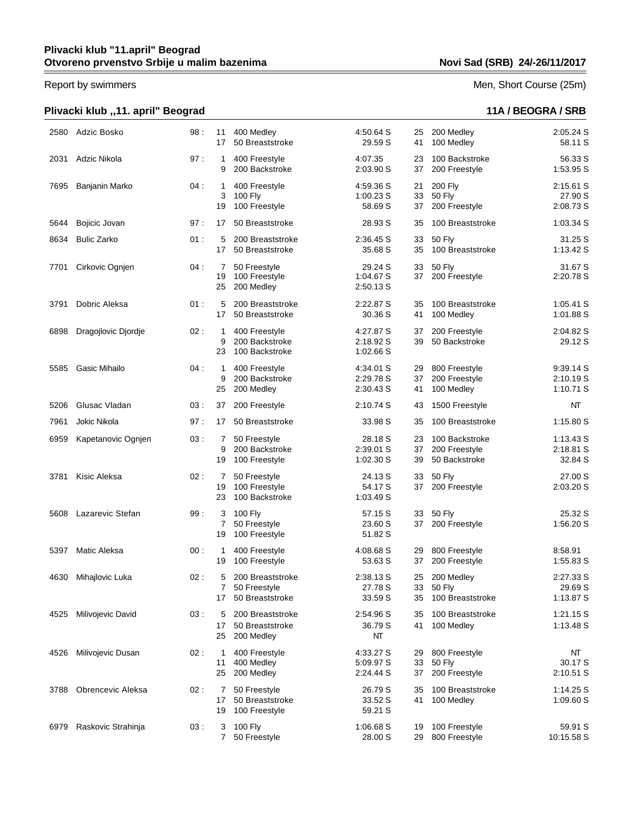# **Plivacki klub ,,11. april" Beograd 11A / BEOGRA / SRB**

### Report by swimmers Men, Short Course (25m)

| 2580 | Adzic Bosko          | 98: | 11<br>17                | 400 Medley<br>50 Breaststroke                          | 4.50.64 S<br>29.59 S                | 25<br>41       | 200 Medley<br>100 Medley                         | 2:05.24 S<br>58.11 S                |
|------|----------------------|-----|-------------------------|--------------------------------------------------------|-------------------------------------|----------------|--------------------------------------------------|-------------------------------------|
| 2031 | Adzic Nikola         | 97: | 1<br>9                  | 400 Freestyle<br>200 Backstroke                        | 4:07.35<br>2:03.90 S                | 23<br>37       | 100 Backstroke<br>200 Freestyle                  | 56.33 S<br>1:53.95 S                |
| 7695 | Banjanin Marko       | 04: | $\mathbf{1}$<br>3<br>19 | 400 Freestyle<br>100 Fly<br>100 Freestyle              | 4:59.36 S<br>1:00.23 S<br>58.69 S   | 21<br>33<br>37 | 200 Fly<br><b>50 Fly</b><br>200 Freestyle        | 2:15.61 S<br>27.90 S<br>2:08.73 S   |
| 5644 | Bojicic Jovan        | 97: | 17                      | 50 Breaststroke                                        | 28.93 S                             | 35             | 100 Breaststroke                                 | 1:03.34 S                           |
| 8634 | <b>Bulic Zarko</b>   | 01: | 5<br>17                 | 200 Breaststroke<br>50 Breaststroke                    | 2:36.45 S<br>35.68 S                | 33<br>35       | <b>50 Fly</b><br>100 Breaststroke                | 31.25 S<br>1:13.42 S                |
| 7701 | Cirkovic Ognjen      | 04: | 7<br>19<br>25           | 50 Freestyle<br>100 Freestyle<br>200 Medley            | 29.24 S<br>1:04.67 S<br>2:50.13 S   | 33<br>37       | <b>50 Flv</b><br>200 Freestyle                   | 31.67 S<br>2:20.78 S                |
| 3791 | Dobric Aleksa        | 01: | 5<br>17                 | 200 Breaststroke<br>50 Breaststroke                    | 2:22.87 S<br>30.36 S                | 35<br>41       | 100 Breaststroke<br>100 Medley                   | 1:05.41 S<br>1:01.88 S              |
| 6898 | Dragojlovic Djordje  | 02: | 1<br>9<br>23            | 400 Freestyle<br>200 Backstroke<br>100 Backstroke      | 4:27.87 S<br>2:18.92 S<br>1:02.66 S | 37<br>39       | 200 Freestyle<br>50 Backstroke                   | 2:04.82 S<br>29.12 S                |
| 5585 | <b>Gasic Mihailo</b> | 04: | 1<br>9<br>25            | 400 Freestyle<br>200 Backstroke<br>200 Medley          | 4:34.01 S<br>2:29.78 S<br>2:30.43 S | 29<br>37<br>41 | 800 Freestyle<br>200 Freestyle<br>100 Medley     | 9:39.14 S<br>2:10.19 S<br>1:10.71 S |
| 5206 | Glusac Vladan        | 03: | 37                      | 200 Freestyle                                          | 2:10.74 S                           | 43             | 1500 Freestyle                                   | NΤ                                  |
| 7961 | Jokic Nikola         | 97: | 17                      | 50 Breaststroke                                        | 33.98 S                             | 35             | 100 Breaststroke                                 | 1:15.80 S                           |
| 6959 | Kapetanovic Ognjen   | 03: | 7<br>9<br>19            | 50 Freestyle<br>200 Backstroke<br>100 Freestyle        | 28.18 S<br>2:39.01 S<br>1:02.30 S   | 23<br>37<br>39 | 100 Backstroke<br>200 Freestyle<br>50 Backstroke | 1:13.43 S<br>2:18.81 S<br>32.84 S   |
| 3781 | Kisic Aleksa         | 02: | 7<br>19<br>23           | 50 Freestyle<br>100 Freestyle<br>100 Backstroke        | 24.13 S<br>54.17 S<br>1:03.49 S     | 33<br>37       | 50 Fly<br>200 Freestyle                          | 27.00 S<br>2:03.20 S                |
| 5608 | Lazarevic Stefan     | 99: | 3<br>7<br>19            | 100 Fly<br>50 Freestyle<br>100 Freestyle               | 57.15 S<br>23.60 S<br>51.82 S       | 33             | <b>50 Fly</b><br>37 200 Freestyle                | 25.32 S<br>1:56.20 S                |
| 5397 | Matic Aleksa         | 00: | 1<br>19                 | 400 Freestyle<br>100 Freestyle                         | 4:08.68 S<br>53.63 S                | 29<br>37       | 800 Freestyle<br>200 Freestyle                   | 8:58.91<br>1:55.83 S                |
| 4630 | Mihajlovic Luka      | 02: | 5                       | 200 Breaststroke<br>50 Freestyle<br>17 50 Breaststroke | 2:38.13 S<br>27.78 S<br>33.59 S     | 25<br>35       | 200 Medley<br>33 50 Fly<br>100 Breaststroke      | 2:27.33 S<br>29.69 S<br>1:13.87 S   |
| 4525 | Milivojevic David    | 03: | 5<br>17<br>25           | 200 Breaststroke<br>50 Breaststroke<br>200 Medley      | 2:54.96 S<br>36.79 S<br>NT          | 35<br>41       | 100 Breaststroke<br>100 Medley                   | 1:21.15 S<br>1:13.48 S              |
| 4526 | Milivojevic Dusan    | 02: | 1<br>11<br>25           | 400 Freestyle<br>400 Medley<br>200 Medley              | 4:33.27 S<br>5:09.97 S<br>2:24.44 S | 29<br>33<br>37 | 800 Freestyle<br>50 Fly<br>200 Freestyle         | NT<br>30.17 S<br>2:10.51 S          |
| 3788 | Obrencevic Aleksa    | 02: | 7<br>17<br>19           | 50 Freestyle<br>50 Breaststroke<br>100 Freestyle       | 26.79 S<br>33.52 S<br>59.21 S       | 35<br>41       | 100 Breaststroke<br>100 Medley                   | 1:14.25 S<br>1:09.60S               |
| 6979 | Raskovic Strahinja   | 03: | 3<br>7                  | 100 Fly<br>50 Freestyle                                | 1:06.68 S<br>28.00 S                | 19<br>29       | 100 Freestyle<br>800 Freestyle                   | 59.91 S<br>10:15.58 S               |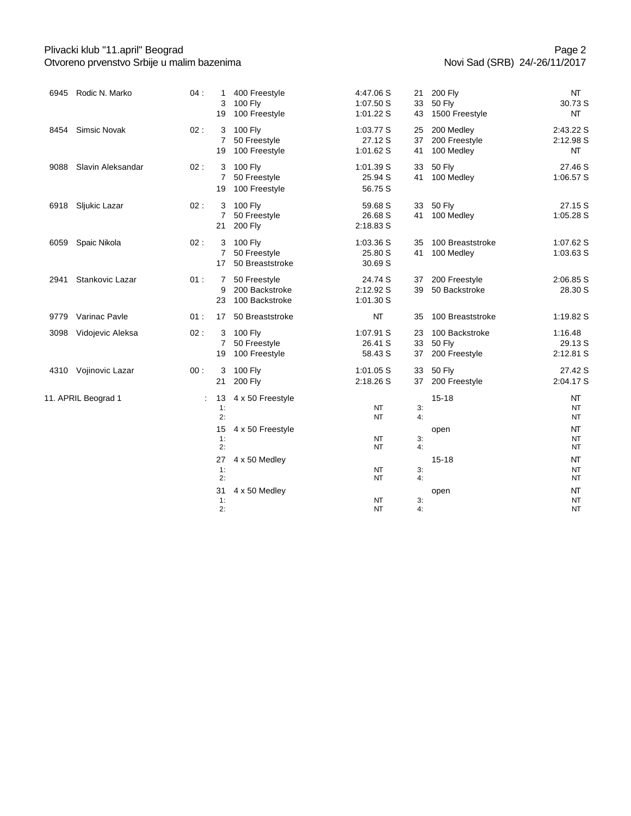### Plivacki klub "11.april" Beograd Otvoreno prvenstvo Srbije u malim bazenima

|                     | 6945 Rodic N. Marko   | 04: | 1<br>3<br>19              | 400 Freestyle<br>100 Fly<br>100 Freestyle        | 4:47.06 S<br>1:07.50 S<br>1:01.22 S | 21<br>33<br>43 | 200 Fly<br><b>50 Fly</b><br>1500 Freestyle       | NT<br>30.73 S<br>NT             |
|---------------------|-----------------------|-----|---------------------------|--------------------------------------------------|-------------------------------------|----------------|--------------------------------------------------|---------------------------------|
| 8454                | <b>Simsic Novak</b>   | 02: | 3<br>$\overline{7}$<br>19 | 100 Fly<br>50 Freestyle<br>100 Freestyle         | 1:03.77 S<br>27.12 S<br>1:01.62 S   | 25<br>37<br>41 | 200 Medley<br>200 Freestyle<br>100 Medley        | 2:43.22 S<br>2:12.98 S<br>NT    |
| 9088                | Slavin Aleksandar     | 02: | 3<br>$\overline{7}$<br>19 | 100 Fly<br>50 Freestyle<br>100 Freestyle         | 1:01.39 S<br>25.94 S<br>56.75 S     | 33<br>41       | <b>50 Fly</b><br>100 Medley                      | 27.46 S<br>1:06.57 S            |
|                     | 6918 Sljukic Lazar    | 02: | 3<br>$\overline{7}$<br>21 | 100 Fly<br>50 Freestyle<br><b>200 Fly</b>        | 59.68 S<br>26.68 S<br>2:18.83 S     | 33<br>41       | 50 Fly<br>100 Medley                             | 27.15 S<br>1:05.28 S            |
| 6059                | Spaic Nikola          | 02: | 3<br>$\overline{7}$<br>17 | 100 Fly<br>50 Freestyle<br>50 Breaststroke       | 1:03.36 S<br>25.80 S<br>30.69 S     | 35<br>41       | 100 Breaststroke<br>100 Medley                   | 1:07.62 S<br>1:03.63 S          |
| 2941                | Stankovic Lazar       | 01: | $\overline{7}$<br>9<br>23 | 50 Freestyle<br>200 Backstroke<br>100 Backstroke | 24.74 S<br>2:12.92 S<br>1:01.30 S   | 37<br>39       | 200 Freestyle<br>50 Backstroke                   | 2:06.85 S<br>28.30 S            |
|                     | 9779 Varinac Payle    | 01: | 17                        | 50 Breaststroke                                  | NT                                  | 35             | 100 Breaststroke                                 | 1:19.82 S                       |
|                     | 3098 Vidojevic Aleksa | 02: | 3<br>7<br>19              | 100 Fly<br>50 Freestyle<br>100 Freestyle         | 1:07.91 S<br>26.41 S<br>58.43 S     | 23<br>33<br>37 | 100 Backstroke<br><b>50 Fly</b><br>200 Freestyle | 1:16.48<br>29.13 S<br>2:12.81 S |
|                     | 4310 Vojinovic Lazar  | 00: | 3<br>21                   | 100 Fly<br><b>200 Fly</b>                        | 1:01.05 S<br>2:18.26 S              | 33<br>37       | <b>50 Fly</b><br>200 Freestyle                   | 27.42 S<br>2:04.17 S            |
| 11. APRIL Beograd 1 |                       | ÷   | 13<br>1:<br>2:            | 4 x 50 Freestyle                                 | NT<br>NT                            | 3:<br>4:       | $15 - 18$                                        | NT<br>NT<br>NT                  |
|                     |                       |     | 15<br>1:<br>2:            | 4 x 50 Freestyle                                 | NT<br><b>NT</b>                     | 3:<br>4:       | open                                             | NT<br>NT<br>NT                  |
|                     |                       |     | 27<br>1:<br>2:            | 4 x 50 Medley                                    | NT<br>NT                            | 3:<br>4:       | $15 - 18$                                        | NT<br><b>NT</b><br>NT           |
|                     |                       |     | 31<br>1:<br>2:            | 4 x 50 Medley                                    | NT<br><b>NT</b>                     | 3:<br>4:       | open                                             | NT<br>NT<br><b>NT</b>           |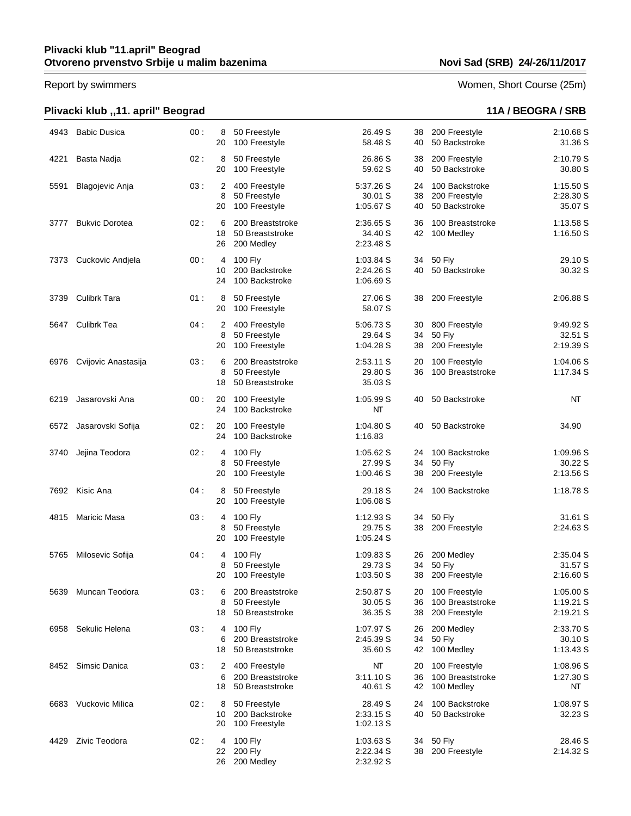## **Plivacki klub "11.april" Beograd Otvoreno prvenstvo Srbije u malim bazenima Novi Sad (SRB) 24/-26/11/2017**

## **Plivacki klub ,,11. april" Beograd 11A / BEOGRA / SRB**

Report by swimmers Women, Short Course (25m)

| 4943 | <b>Babic Dusica</b>   | 00: | 8<br>20       | 50 Freestyle<br>100 Freestyle                        | 26.49 S<br>58.48 S                    | 38<br>40       | 200 Freestyle<br>50 Backstroke                     | 2:10.68 S<br>31.36 S                |
|------|-----------------------|-----|---------------|------------------------------------------------------|---------------------------------------|----------------|----------------------------------------------------|-------------------------------------|
| 4221 | Basta Nadja           | 02: | 8<br>20       | 50 Freestyle<br>100 Freestyle                        | 26.86 S<br>59.62 S                    | 38<br>40       | 200 Freestyle<br>50 Backstroke                     | 2:10.79 S<br>30.80 S                |
| 5591 | Blagojevic Anja       | 03: | 2<br>8<br>20  | 400 Freestyle<br>50 Freestyle<br>100 Freestyle       | 5:37.26 S<br>30.01 S<br>1:05.67 S     | 24<br>38<br>40 | 100 Backstroke<br>200 Freestyle<br>50 Backstroke   | 1:15.50 S<br>2:28.30 S<br>35.07 S   |
| 3777 | <b>Bukvic Dorotea</b> | 02: | 6<br>18<br>26 | 200 Breaststroke<br>50 Breaststroke<br>200 Medley    | 2:36.65 S<br>34.40 S<br>2:23.48 S     | 36<br>42       | 100 Breaststroke<br>100 Medley                     | 1:13.58 S<br>1:16.50 S              |
| 7373 | Cuckovic Andjela      | 00: | 4<br>10<br>24 | 100 Fly<br>200 Backstroke<br>100 Backstroke          | 1:03.84 S<br>2:24.26 S<br>1:06.69 S   | 34<br>40       | 50 Fly<br>50 Backstroke                            | 29.10 S<br>30.32 S                  |
| 3739 | <b>Culibrk Tara</b>   | 01: | 8<br>20       | 50 Freestyle<br>100 Freestyle                        | 27.06 S<br>58.07 S                    | 38             | 200 Freestyle                                      | 2:06.88 S                           |
| 5647 | Culibrk Tea           | 04: | 2<br>8<br>20  | 400 Freestyle<br>50 Freestyle<br>100 Freestyle       | 5:06.73 S<br>29.64 S<br>1:04.28 S     | 30<br>34<br>38 | 800 Freestyle<br><b>50 Fly</b><br>200 Freestyle    | 9:49.92 S<br>32.51 S<br>2:19.39 S   |
| 6976 | Cvijovic Anastasija   | 03: | 6<br>8<br>18  | 200 Breaststroke<br>50 Freestyle<br>50 Breaststroke  | 2:53.11 S<br>29.80 S<br>35.03 S       | 20<br>36       | 100 Freestyle<br>100 Breaststroke                  | 1:04.06 S<br>1:17.34 S              |
| 6219 | Jasarovski Ana        | 00: | 20<br>24      | 100 Freestyle<br>100 Backstroke                      | 1:05.99 S<br>NΤ                       | 40             | 50 Backstroke                                      | NT                                  |
| 6572 | Jasarovski Sofija     | 02: | 20<br>24      | 100 Freestyle<br>100 Backstroke                      | 1:04.80 S<br>1:16.83                  | 40             | 50 Backstroke                                      | 34.90                               |
| 3740 | Jejina Teodora        | 02: | 4<br>8<br>20  | 100 Fly<br>50 Freestyle<br>100 Freestyle             | 1:05.62 S<br>27.99 S<br>1:00.46S      | 24<br>34<br>38 | 100 Backstroke<br><b>50 Fly</b><br>200 Freestyle   | 1:09.96 S<br>30.22 S<br>2:13.56 S   |
|      | 7692 Kisic Ana        | 04: | 8<br>20       | 50 Freestyle<br>100 Freestyle                        | 29.18 S<br>1:06.08 S                  | 24             | 100 Backstroke                                     | 1:18.78 S                           |
| 4815 | <b>Maricic Masa</b>   | 03: | 4<br>8<br>20  | 100 Fly<br>50 Freestyle<br>100 Freestyle             | 1:12.93S<br>29.75 S<br>1:05.24 S      | 34<br>38       | <b>50 Fly</b><br>200 Freestyle                     | 31.61 S<br>2:24.63 S                |
| 5765 | Milosevic Sofija      | 04: | 4<br>8<br>20  | 100 Fly<br>50 Freestyle<br>100 Freestyle             | 1:09.83 S<br>29.73 S<br>1:03.50 S     | 26<br>34<br>38 | 200 Medley<br><b>50 Fly</b><br>200 Freestyle       | 2:35.04 S<br>31.57 S<br>2:16.60 S   |
| 5639 | Muncan Teodora        | 03: | 6<br>8<br>18  | 200 Breaststroke<br>50 Freestyle<br>50 Breaststroke  | 2:50.87 S<br>30.05 S<br>36.35 S       | 20<br>36<br>38 | 100 Freestyle<br>100 Breaststroke<br>200 Freestyle | 1:05.00 S<br>1:19.21 S<br>2:19.21 S |
| 6958 | Sekulic Helena        | 03: | 4<br>6<br>18  | 100 Fly<br>200 Breaststroke<br>50 Breaststroke       | 1:07.97 S<br>2:45.39 S<br>35.60 S     | 26<br>34<br>42 | 200 Medley<br><b>50 Fly</b><br>100 Medley          | 2:33.70 S<br>30.10 S<br>1:13.43S    |
| 8452 | Simsic Danica         | 03: | 2<br>6<br>18  | 400 Freestyle<br>200 Breaststroke<br>50 Breaststroke | NT<br>3:11.10S<br>40.61 S             | 20<br>36<br>42 | 100 Freestyle<br>100 Breaststroke<br>100 Medley    | 1:08.96 S<br>1:27.30 S<br>NT        |
| 6683 | Vuckovic Milica       | 02: | 8<br>10<br>20 | 50 Freestyle<br>200 Backstroke<br>100 Freestyle      | 28.49 S<br>2:33.15 S<br>1:02.13S      | 24<br>40       | 100 Backstroke<br>50 Backstroke                    | 1:08.97 S<br>32.23 S                |
| 4429 | Zivic Teodora         | 02: | 4<br>22<br>26 | 100 Fly<br><b>200 Fly</b><br>200 Medley              | $1:03.63$ S<br>2:22.34 S<br>2:32.92 S | 34<br>38       | 50 Fly<br>200 Freestyle                            | 28.46 S<br>2:14.32 S                |